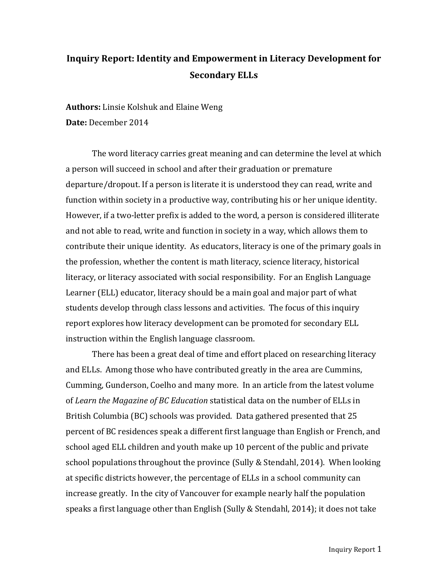# **Inquiry Report: Identity and Empowerment in Literacy Development for Secondary ELLs**

**Authors:** Linsie Kolshuk and Elaine Weng **Date:** December 2014

The word literacy carries great meaning and can determine the level at which a person will succeed in school and after their graduation or premature departure/dropout. If a person is literate it is understood they can read, write and function within society in a productive way, contributing his or her unique identity. However, if a two-letter prefix is added to the word, a person is considered illiterate and not able to read, write and function in society in a way, which allows them to contribute their unique identity. As educators, literacy is one of the primary goals in the profession, whether the content is math literacy, science literacy, historical literacy, or literacy associated with social responsibility. For an English Language Learner (ELL) educator, literacy should be a main goal and major part of what students develop through class lessons and activities. The focus of this inquiry report explores how literacy development can be promoted for secondary ELL instruction within the English language classroom.

There has been a great deal of time and effort placed on researching literacy and ELLs. Among those who have contributed greatly in the area are Cummins, Cumming, Gunderson, Coelho and many more. In an article from the latest volume of *Learn the Magazine of BC Education* statistical data on the number of ELLs in British Columbia (BC) schools was provided. Data gathered presented that 25 percent of BC residences speak a different first language than English or French, and school aged ELL children and youth make up 10 percent of the public and private school populations throughout the province (Sully & Stendahl, 2014). When looking at specific districts however, the percentage of ELLs in a school community can increase greatly. In the city of Vancouver for example nearly half the population speaks a first language other than English (Sully & Stendahl, 2014); it does not take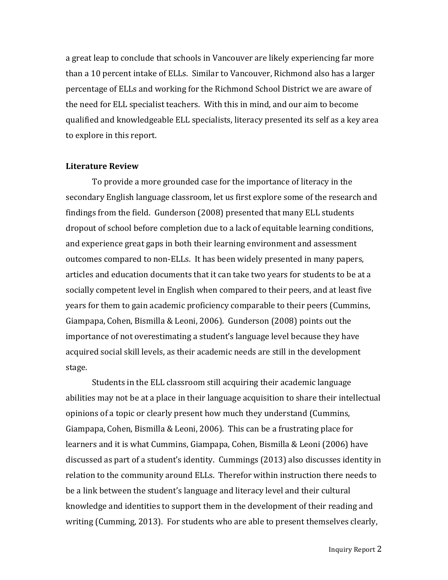a great leap to conclude that schools in Vancouver are likely experiencing far more than a 10 percent intake of ELLs. Similar to Vancouver, Richmond also has a larger percentage of ELLs and working for the Richmond School District we are aware of the need for ELL specialist teachers. With this in mind, and our aim to become qualified and knowledgeable ELL specialists, literacy presented its self as a key area to explore in this report.

#### **Literature Review**

To provide a more grounded case for the importance of literacy in the secondary English language classroom, let us first explore some of the research and findings from the field. Gunderson (2008) presented that many ELL students dropout of school before completion due to a lack of equitable learning conditions, and experience great gaps in both their learning environment and assessment outcomes compared to non-ELLs. It has been widely presented in many papers, articles and education documents that it can take two years for students to be at a socially competent level in English when compared to their peers, and at least five years for them to gain academic proficiency comparable to their peers (Cummins, Giampapa, Cohen, Bismilla & Leoni, 2006). Gunderson (2008) points out the importance of not overestimating a student's language level because they have acquired social skill levels, as their academic needs are still in the development stage.

Students in the ELL classroom still acquiring their academic language abilities may not be at a place in their language acquisition to share their intellectual opinions of a topic or clearly present how much they understand (Cummins, Giampapa, Cohen, Bismilla & Leoni, 2006). This can be a frustrating place for learners and it is what Cummins, Giampapa, Cohen, Bismilla & Leoni (2006) have discussed as part of a student's identity. Cummings (2013) also discusses identity in relation to the community around ELLs. Therefor within instruction there needs to be a link between the student's language and literacy level and their cultural knowledge and identities to support them in the development of their reading and writing (Cumming, 2013). For students who are able to present themselves clearly,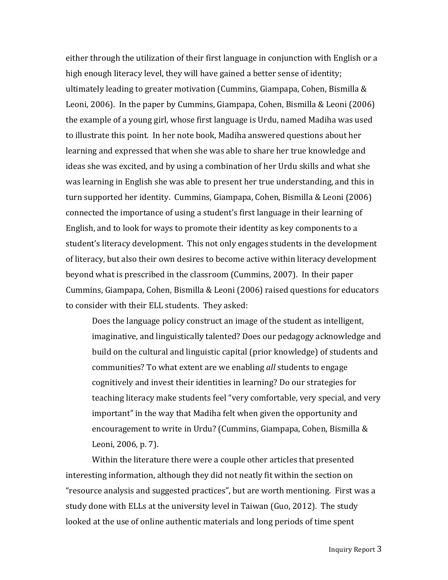either through the utilization of their first language in conjunction with English or a high enough literacy level, they will have gained a better sense of identity; ultimately leading to greater motivation (Cummins, Giampapa, Cohen, Bismilla  $&$ Leoni, 2006). In the paper by Cummins, Giampapa, Cohen, Bismilla & Leoni (2006) the example of a young girl, whose first language is Urdu, named Madiha was used to illustrate this point. In her note book, Madiha answered questions about her learning and expressed that when she was able to share her true knowledge and ideas she was excited, and by using a combination of her Urdu skills and what she was learning in English she was able to present her true understanding, and this in turn supported her identity. Cummins, Giampapa, Cohen, Bismilla & Leoni (2006) connected the importance of using a student's first language in their learning of English, and to look for ways to promote their identity as key components to a student's literacy development. This not only engages students in the development of literacy, but also their own desires to become active within literacy development beyond what is prescribed in the classroom (Cummins, 2007). In their paper Cummins, Giampapa, Cohen, Bismilla & Leoni (2006) raised questions for educators to consider with their ELL students. They asked:

Does the language policy construct an image of the student as intelligent, imaginative, and linguistically talented? Does our pedagogy acknowledge and build on the cultural and linguistic capital (prior knowledge) of students and communities? To what extent are we enabling *all* students to engage cognitively and invest their identities in learning? Do our strategies for teaching literacy make students feel "very comfortable, very special, and very important" in the way that Madiha felt when given the opportunity and encouragement to write in Urdu? (Cummins, Giampapa, Cohen, Bismilla & Leoni, 2006, p. 7).

Within the literature there were a couple other articles that presented interesting information, although they did not neatly fit within the section on "resource analysis and suggested practices", but are worth mentioning. First was a study done with ELLs at the university level in Taiwan (Guo, 2012). The study looked at the use of online authentic materials and long periods of time spent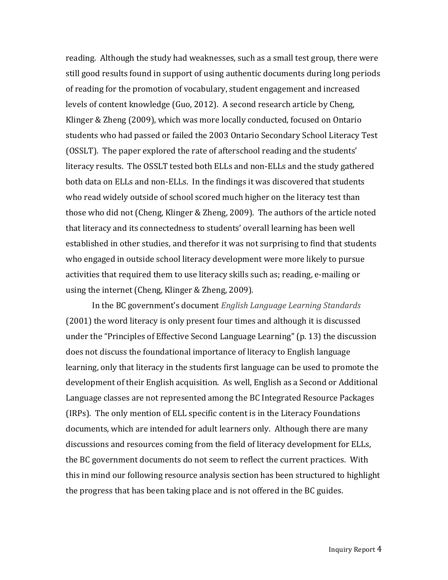reading. Although the study had weaknesses, such as a small test group, there were still good results found in support of using authentic documents during long periods of reading for the promotion of vocabulary, student engagement and increased levels of content knowledge (Guo, 2012). A second research article by Cheng, Klinger & Zheng (2009), which was more locally conducted, focused on Ontario students who had passed or failed the 2003 Ontario Secondary School Literacy Test (OSSLT). The paper explored the rate of afterschool reading and the students' literacy results. The OSSLT tested both ELLs and non-ELLs and the study gathered both data on ELLs and non-ELLs. In the findings it was discovered that students who read widely outside of school scored much higher on the literacy test than those who did not (Cheng, Klinger & Zheng, 2009). The authors of the article noted that literacy and its connectedness to students' overall learning has been well established in other studies, and therefor it was not surprising to find that students who engaged in outside school literacy development were more likely to pursue activities that required them to use literacy skills such as; reading, e-mailing or using the internet (Cheng, Klinger & Zheng, 2009).

In the BC government's document *English Language Learning Standards* (2001) the word literacy is only present four times and although it is discussed under the "Principles of Effective Second Language Learning" (p. 13) the discussion does not discuss the foundational importance of literacy to English language learning, only that literacy in the students first language can be used to promote the development of their English acquisition. As well, English as a Second or Additional Language classes are not represented among the BC Integrated Resource Packages (IRPs). The only mention of ELL specific content is in the Literacy Foundations documents, which are intended for adult learners only. Although there are many discussions and resources coming from the field of literacy development for ELLs, the BC government documents do not seem to reflect the current practices. With this in mind our following resource analysis section has been structured to highlight the progress that has been taking place and is not offered in the BC guides.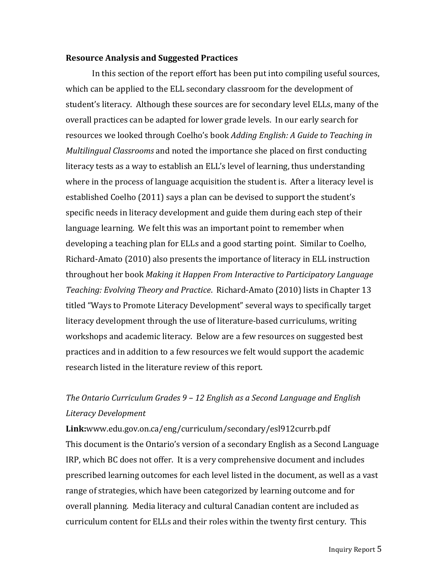#### **Resource Analysis and Suggested Practices**

In this section of the report effort has been put into compiling useful sources, which can be applied to the ELL secondary classroom for the development of student's literacy. Although these sources are for secondary level ELLs, many of the overall practices can be adapted for lower grade levels. In our early search for resources we looked through Coelho's book *Adding English: A Guide to Teaching in Multilingual Classrooms* and noted the importance she placed on first conducting literacy tests as a way to establish an ELL's level of learning, thus understanding where in the process of language acquisition the student is. After a literacy level is established Coelho (2011) says a plan can be devised to support the student's specific needs in literacy development and guide them during each step of their language learning. We felt this was an important point to remember when developing a teaching plan for ELLs and a good starting point. Similar to Coelho, Richard-Amato  $(2010)$  also presents the importance of literacy in ELL instruction throughout her book *Making* it Happen From Interactive to Participatory Language *Teaching: Evolving Theory and Practice.* Richard-Amato (2010) lists in Chapter 13 titled "Ways to Promote Literacy Development" several ways to specifically target literacy development through the use of literature-based curriculums, writing workshops and academic literacy. Below are a few resources on suggested best practices and in addition to a few resources we felt would support the academic research listed in the literature review of this report.

## *The Ontario Curriculum Grades*  $9 - 12$  *English as a Second Language and English Literacy Development*

**Link:**www.edu.gov.on.ca/eng/curriculum/secondary/esl912currb.pdf This document is the Ontario's version of a secondary English as a Second Language IRP, which BC does not offer. It is a very comprehensive document and includes prescribed learning outcomes for each level listed in the document, as well as a vast range of strategies, which have been categorized by learning outcome and for overall planning. Media literacy and cultural Canadian content are included as curriculum content for ELLs and their roles within the twenty first century. This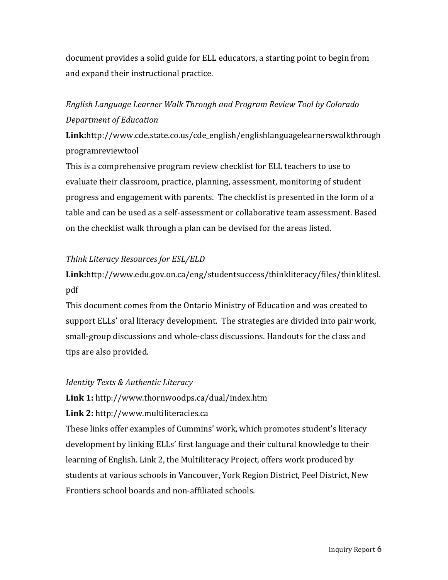document provides a solid guide for ELL educators, a starting point to begin from and expand their instructional practice.

## English Language Learner Walk Through and Program Review Tool by Colorado *Department of Education*

**Link:**http://www.cde.state.co.us/cde\_english/englishlanguagelearnerswalkthrough programreviewtool

This is a comprehensive program review checklist for ELL teachers to use to evaluate their classroom, practice, planning, assessment, monitoring of student progress and engagement with parents. The checklist is presented in the form of a table and can be used as a self-assessment or collaborative team assessment. Based on the checklist walk through a plan can be devised for the areas listed.

## *Think Literacy Resources for ESL/ELD*

## **Link:**http://www.edu.gov.on.ca/eng/studentsuccess/thinkliteracy/files/thinklitesl. pdf

This document comes from the Ontario Ministry of Education and was created to support ELLs' oral literacy development. The strategies are divided into pair work, small-group discussions and whole-class discussions. Handouts for the class and tips are also provided.

## *Identity Texts & Authentic Literacy*

## **Link 1:** http://www.thornwoodps.ca/dual/index.htm

Link 2: http://www.multiliteracies.ca

These links offer examples of Cummins' work, which promotes student's literacy development by linking ELLs' first language and their cultural knowledge to their learning of English. Link 2, the Multiliteracy Project, offers work produced by students at various schools in Vancouver, York Region District, Peel District, New Frontiers school boards and non-affiliated schools.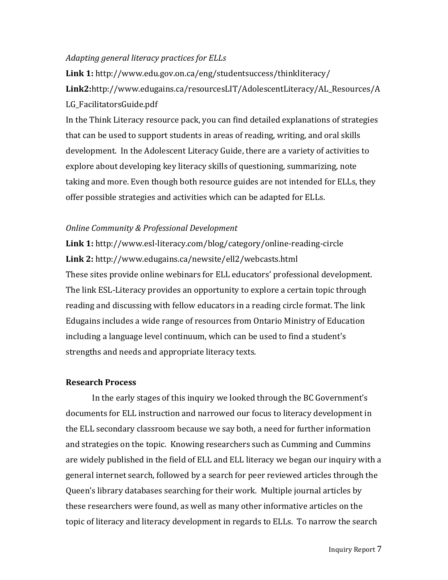### *Adapting general literacy practices for ELLs*

**Link 1:** http://www.edu.gov.on.ca/eng/studentsuccess/thinkliteracy/ **Link2:**http://www.edugains.ca/resourcesLIT/AdolescentLiteracy/AL\_Resources/A LG\_FacilitatorsGuide.pdf

In the Think Literacy resource pack, you can find detailed explanations of strategies that can be used to support students in areas of reading, writing, and oral skills development. In the Adolescent Literacy Guide, there are a variety of activities to explore about developing key literacy skills of questioning, summarizing, note taking and more. Even though both resource guides are not intended for ELLs, they offer possible strategies and activities which can be adapted for ELLs.

### **Online Community & Professional Development**

**Link 1:** http://www.esl-literacy.com/blog/category/online-reading-circle **Link 2:** http://www.edugains.ca/newsite/ell2/webcasts.html These sites provide online webinars for ELL educators' professional development. The link ESL-Literacy provides an opportunity to explore a certain topic through reading and discussing with fellow educators in a reading circle format. The link Edugains includes a wide range of resources from Ontario Ministry of Education including a language level continuum, which can be used to find a student's strengths and needs and appropriate literacy texts.

### **Research Process**

In the early stages of this inquiry we looked through the BC Government's documents for ELL instruction and narrowed our focus to literacy development in the ELL secondary classroom because we say both, a need for further information and strategies on the topic. Knowing researchers such as Cumming and Cummins are widely published in the field of ELL and ELL literacy we began our inquiry with a general internet search, followed by a search for peer reviewed articles through the Queen's library databases searching for their work. Multiple journal articles by these researchers were found, as well as many other informative articles on the topic of literacy and literacy development in regards to ELLs. To narrow the search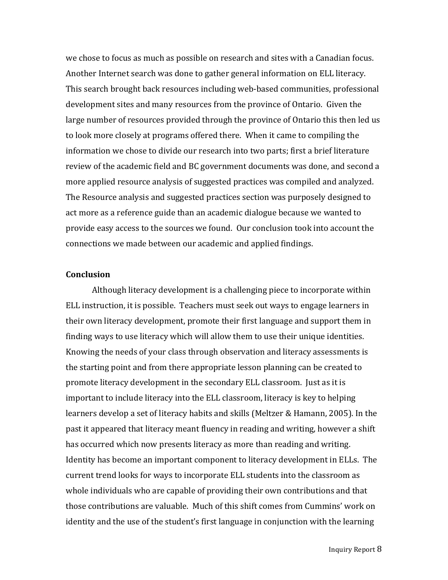we chose to focus as much as possible on research and sites with a Canadian focus. Another Internet search was done to gather general information on ELL literacy. This search brought back resources including web-based communities, professional development sites and many resources from the province of Ontario. Given the large number of resources provided through the province of Ontario this then led us to look more closely at programs offered there. When it came to compiling the information we chose to divide our research into two parts; first a brief literature review of the academic field and BC government documents was done, and second a more applied resource analysis of suggested practices was compiled and analyzed. The Resource analysis and suggested practices section was purposely designed to act more as a reference guide than an academic dialogue because we wanted to provide easy access to the sources we found. Our conclusion took into account the connections we made between our academic and applied findings.

#### **Conclusion**

Although literacy development is a challenging piece to incorporate within ELL instruction, it is possible. Teachers must seek out ways to engage learners in their own literacy development, promote their first language and support them in finding ways to use literacy which will allow them to use their unique identities. Knowing the needs of your class through observation and literacy assessments is the starting point and from there appropriate lesson planning can be created to promote literacy development in the secondary ELL classroom. Just as it is important to include literacy into the ELL classroom, literacy is key to helping learners develop a set of literacy habits and skills (Meltzer & Hamann, 2005). In the past it appeared that literacy meant fluency in reading and writing, however a shift has occurred which now presents literacy as more than reading and writing. Identity has become an important component to literacy development in ELLs. The current trend looks for ways to incorporate ELL students into the classroom as whole individuals who are capable of providing their own contributions and that those contributions are valuable. Much of this shift comes from Cummins' work on identity and the use of the student's first language in conjunction with the learning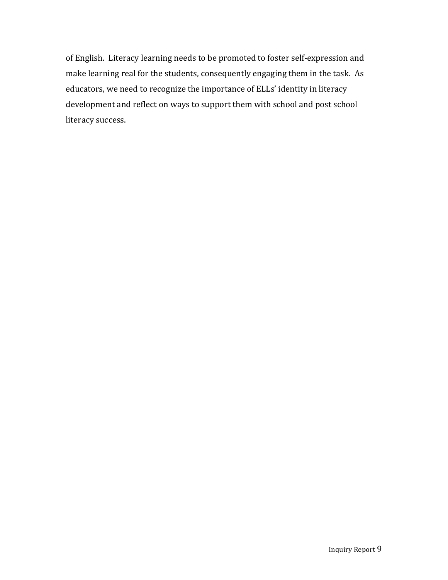of English. Literacy learning needs to be promoted to foster self-expression and make learning real for the students, consequently engaging them in the task. As educators, we need to recognize the importance of ELLs' identity in literacy development and reflect on ways to support them with school and post school literacy success.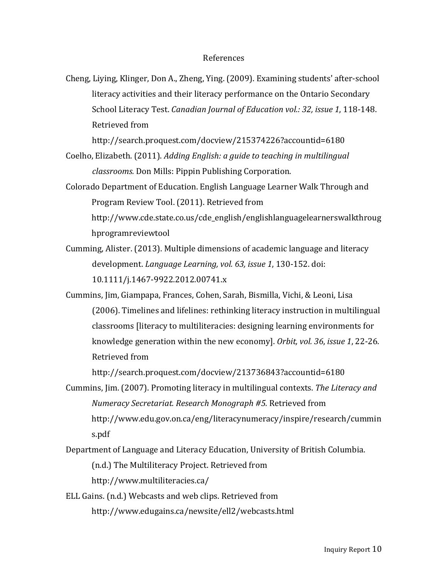#### References

Cheng, Liying, Klinger, Don A., Zheng, Ying. (2009). Examining students' after-school literacy activities and their literacy performance on the Ontario Secondary School Literacy Test. *Canadian Journal of Education vol.: 32, issue 1,* 118-148. Retrieved from

http://search.proquest.com/docview/215374226?accountid=6180

- Coelho, Elizabeth. (2011). *Adding English: a guide to teaching in multilingual classrooms.* Don Mills: Pippin Publishing Corporation.
- Colorado Department of Education. English Language Learner Walk Through and Program Review Tool. (2011). Retrieved from http://www.cde.state.co.us/cde\_english/englishlanguagelearnerswalkthroug hprogramreviewtool
- Cumming, Alister. (2013). Multiple dimensions of academic language and literacy development. *Language Learning, vol.* 63, *issue* 1, 130-152. doi: 10.1111/j.1467-9922.2012.00741.x
- Cummins, Jim, Giampapa, Frances, Cohen, Sarah, Bismilla, Vichi, & Leoni, Lisa (2006). Timelines and lifelines: rethinking literacy instruction in multilingual classrooms [literacy to multiliteracies: designing learning environments for knowledge generation within the new economy]. *Orbit, vol.* 36, *issue* 1, 22-26. Retrieved from

http://search.proquest.com/docview/213736843?accountid=6180

- Cummins, Jim. (2007). Promoting literacy in multilingual contexts. The Literacy and *Numeracy Secretariat. Research Monograph #5.* Retrieved from http://www.edu.gov.on.ca/eng/literacynumeracy/inspire/research/cummin s.pdf
- Department of Language and Literacy Education, University of British Columbia.

(n.d.) The Multiliteracy Project. Retrieved from

http://www.multiliteracies.ca/

ELL Gains. (n.d.) Webcasts and web clips. Retrieved from http://www.edugains.ca/newsite/ell2/webcasts.html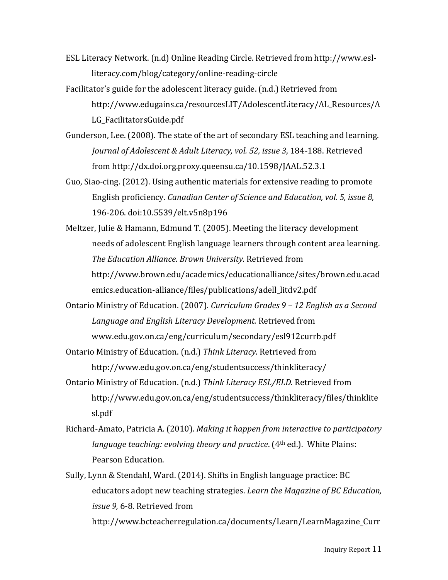- ESL Literacy Network. (n.d) Online Reading Circle. Retrieved from http://www.eslliteracy.com/blog/category/online-reading-circle
- Facilitator's guide for the adolescent literacy guide. (n.d.) Retrieved from http://www.edugains.ca/resourcesLIT/AdolescentLiteracy/AL\_Resources/A LG\_FacilitatorsGuide.pdf
- Gunderson, Lee. (2008). The state of the art of secondary ESL teaching and learning. *Journal of Adolescent & Adult Literacy, vol.* 52, *issue* 3, 184-188. Retrieved from http://dx.doi.org.proxy.queensu.ca/10.1598/JAAL.52.3.1
- Guo, Siao-cing. (2012). Using authentic materials for extensive reading to promote English proficiency. *Canadian Center of Science and Education, vol.* 5, *issue 8*, 196-206. doi:10.5539/elt.v5n8p196
- Meltzer, Julie & Hamann, Edmund T. (2005). Meeting the literacy development needs of adolescent English language learners through content area learning. *The Education Alliance. Brown University.* Retrieved from http://www.brown.edu/academics/educationalliance/sites/brown.edu.acad emics.education-alliance/files/publications/adell\_litdv2.pdf
- Ontario Ministry of Education. (2007). *Curriculum Grades* 9 12 *English as a Second* Language and *English Literacy Development*. Retrieved from www.edu.gov.on.ca/eng/curriculum/secondary/esl912currb.pdf
- Ontario Ministry of Education. (n.d.) Think Literacy. Retrieved from http://www.edu.gov.on.ca/eng/studentsuccess/thinkliteracy/
- Ontario Ministry of Education. (n.d.) Think Literacy *ESL/ELD*. Retrieved from http://www.edu.gov.on.ca/eng/studentsuccess/thinkliteracy/files/thinklite sl.pdf
- Richard-Amato, Patricia A. (2010). *Making it happen from interactive to participatory language teaching: evolving theory and practice.* (4<sup>th</sup> ed.). White Plains: Pearson Education.
- Sully, Lynn & Stendahl, Ward. (2014). Shifts in English language practice: BC educators adopt new teaching strategies. *Learn the Magazine of BC Education*, *issue* 9, 6-8. Retrieved from

http://www.bcteacherregulation.ca/documents/Learn/LearnMagazine\_Curr